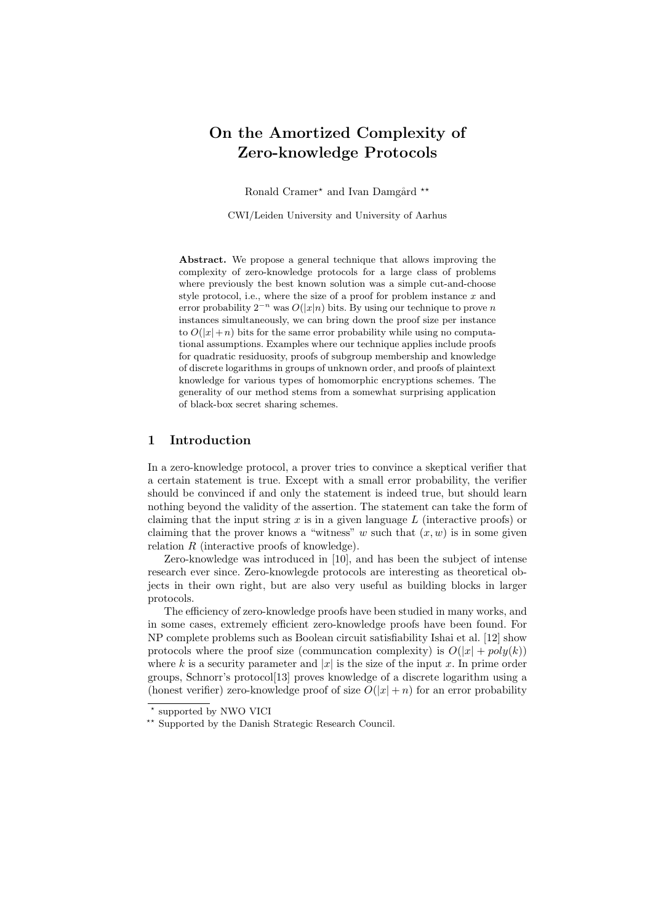# On the Amortized Complexity of Zero-knowledge Protocols

Ronald Cramer\* and Ivan Damgård \*\*

CWI/Leiden University and University of Aarhus

Abstract. We propose a general technique that allows improving the complexity of zero-knowledge protocols for a large class of problems where previously the best known solution was a simple cut-and-choose style protocol, i.e., where the size of a proof for problem instance  $x$  and error probability  $2^{-n}$  was  $O(|x|n)$  bits. By using our technique to prove n instances simultaneously, we can bring down the proof size per instance to  $O(|x|+n)$  bits for the same error probability while using no computational assumptions. Examples where our technique applies include proofs for quadratic residuosity, proofs of subgroup membership and knowledge of discrete logarithms in groups of unknown order, and proofs of plaintext knowledge for various types of homomorphic encryptions schemes. The generality of our method stems from a somewhat surprising application of black-box secret sharing schemes.

# 1 Introduction

In a zero-knowledge protocol, a prover tries to convince a skeptical verifier that a certain statement is true. Except with a small error probability, the verifier should be convinced if and only the statement is indeed true, but should learn nothing beyond the validity of the assertion. The statement can take the form of claiming that the input string  $x$  is in a given language  $L$  (interactive proofs) or claiming that the prover knows a "witness" w such that  $(x, w)$  is in some given relation  $R$  (interactive proofs of knowledge).

Zero-knowledge was introduced in [10], and has been the subject of intense research ever since. Zero-knowlegde protocols are interesting as theoretical objects in their own right, but are also very useful as building blocks in larger protocols.

The efficiency of zero-knowledge proofs have been studied in many works, and in some cases, extremely efficient zero-knowledge proofs have been found. For NP complete problems such as Boolean circuit satisfiability Ishai et al. [12] show protocols where the proof size (communcation complexity) is  $O(|x| + poly(k))$ where k is a security parameter and |x| is the size of the input x. In prime order groups, Schnorr's protocol[13] proves knowledge of a discrete logarithm using a (honest verifier) zero-knowledge proof of size  $O(|x|+n)$  for an error probability

<sup>?</sup> supported by NWO VICI

<sup>\*\*</sup> Supported by the Danish Strategic Research Council.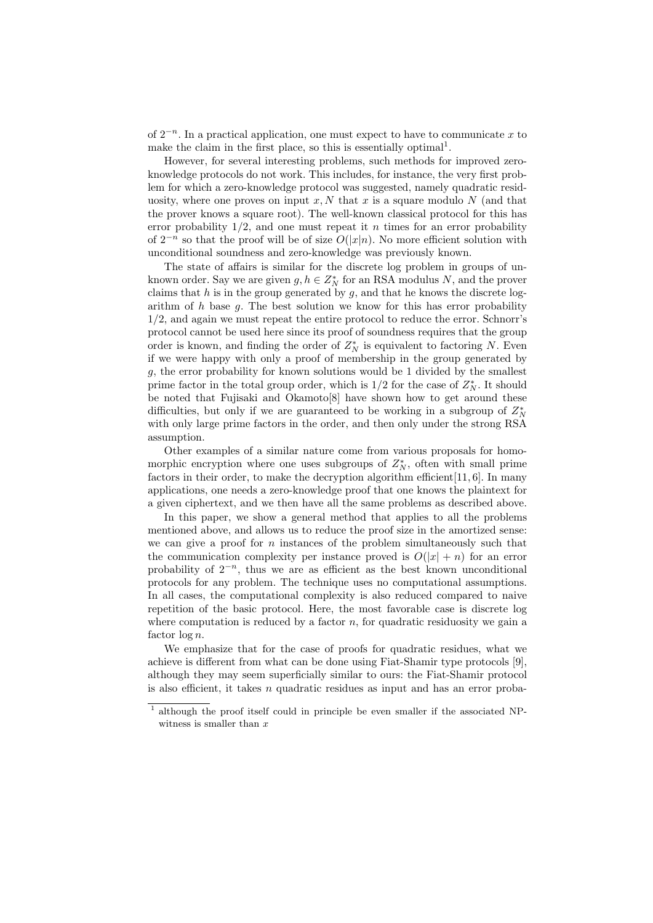of  $2^{-n}$ . In a practical application, one must expect to have to communicate x to make the claim in the first place, so this is essentially optimal<sup>1</sup>.

However, for several interesting problems, such methods for improved zeroknowledge protocols do not work. This includes, for instance, the very first problem for which a zero-knowledge protocol was suggested, namely quadratic residuosity, where one proves on input x, N that x is a square modulo N (and that the prover knows a square root). The well-known classical protocol for this has error probability  $1/2$ , and one must repeat it n times for an error probability of  $2^{-n}$  so that the proof will be of size  $O(|x|n)$ . No more efficient solution with unconditional soundness and zero-knowledge was previously known.

The state of affairs is similar for the discrete log problem in groups of unknown order. Say we are given  $g, h \in Z_N^*$  for an RSA modulus  $N$ , and the prover claims that  $h$  is in the group generated by  $g$ , and that he knows the discrete logarithm of  $h$  base  $g$ . The best solution we know for this has error probability 1/2, and again we must repeat the entire protocol to reduce the error. Schnorr's protocol cannot be used here since its proof of soundness requires that the group order is known, and finding the order of  $Z_N^*$  is equivalent to factoring N. Even if we were happy with only a proof of membership in the group generated by g, the error probability for known solutions would be 1 divided by the smallest prime factor in the total group order, which is  $1/2$  for the case of  $Z_N^*$ . It should be noted that Fujisaki and Okamoto[8] have shown how to get around these difficulties, but only if we are guaranteed to be working in a subgroup of  $Z_N^*$ with only large prime factors in the order, and then only under the strong RSA assumption.

Other examples of a similar nature come from various proposals for homomorphic encryption where one uses subgroups of  $Z_N^*$ , often with small prime factors in their order, to make the decryption algorithm efficient[11, 6]. In many applications, one needs a zero-knowledge proof that one knows the plaintext for a given ciphertext, and we then have all the same problems as described above.

In this paper, we show a general method that applies to all the problems mentioned above, and allows us to reduce the proof size in the amortized sense: we can give a proof for  $n$  instances of the problem simultaneously such that the communication complexity per instance proved is  $O(|x| + n)$  for an error probability of  $2^{-n}$ , thus we are as efficient as the best known unconditional protocols for any problem. The technique uses no computational assumptions. In all cases, the computational complexity is also reduced compared to naive repetition of the basic protocol. Here, the most favorable case is discrete log where computation is reduced by a factor n, for quadratic residuosity we gain a factor log n.

We emphasize that for the case of proofs for quadratic residues, what we achieve is different from what can be done using Fiat-Shamir type protocols [9], although they may seem superficially similar to ours: the Fiat-Shamir protocol is also efficient, it takes  $n$  quadratic residues as input and has an error proba-

<sup>&</sup>lt;sup>1</sup> although the proof itself could in principle be even smaller if the associated NPwitness is smaller than  $x$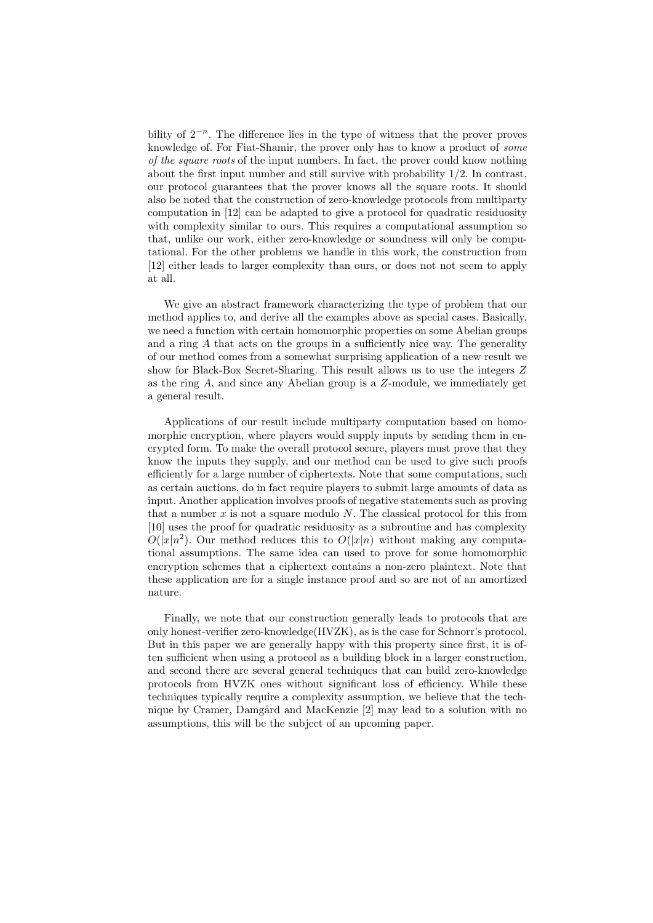bility of  $2^{-n}$ . The difference lies in the type of witness that the prover proves knowledge of. For Fiat-Shamir, the prover only has to know a product of some of the square roots of the input numbers. In fact, the prover could know nothing about the first input number and still survive with probability 1/2. In contrast, our protocol guarantees that the prover knows all the square roots. It should also be noted that the construction of zero-knowledge protocols from multiparty computation in [12] can be adapted to give a protocol for quadratic residuosity with complexity similar to ours. This requires a computational assumption so that, unlike our work, either zero-knowledge or soundness will only be computational. For the other problems we handle in this work, the construction from [12] either leads to larger complexity than ours, or does not not seem to apply at all.

We give an abstract framework characterizing the type of problem that our method applies to, and derive all the examples above as special cases. Basically, we need a function with certain homomorphic properties on some Abelian groups and a ring  $\ddot{A}$  that acts on the groups in a sufficiently nice way. The generality of our method comes from a somewhat surprising application of a new result we show for Black-Box Secret-Sharing. This result allows us to use the integers Z as the ring A, and since any Abelian group is a Z-module, we immediately get a general result.

Applications of our result include multiparty computation based on homomorphic encryption, where players would supply inputs by sending them in encrypted form. To make the overall protocol secure, players must prove that they know the inputs they supply, and our method can be used to give such proofs efficiently for a large number of ciphertexts. Note that some computations, such as certain auctions, do in fact require players to submit large amounts of data as input. Another application involves proofs of negative statements such as proving that a number x is not a square modulo N. The classical protocol for this from [10] uses the proof for quadratic residuosity as a subroutine and has complexity  $O(|x|n^2)$ . Our method reduces this to  $O(|x|n)$  without making any computational assumptions. The same idea can used to prove for some homomorphic encryption schemes that a ciphertext contains a non-zero plaintext. Note that these application are for a single instance proof and so are not of an amortized nature.

Finally, we note that our construction generally leads to protocols that are only honest-verifier zero-knowledge(HVZK), as is the case for Schnorr's protocol. But in this paper we are generally happy with this property since first, it is often sufficient when using a protocol as a building block in a larger construction, and second there are several general techniques that can build zero-knowledge protocols from HVZK ones without significant loss of efficiency. While these techniques typically require a complexity assumption, we believe that the technique by Cramer, Damgård and MacKenzie  $[2]$  may lead to a solution with no assumptions, this will be the subject of an upcoming paper.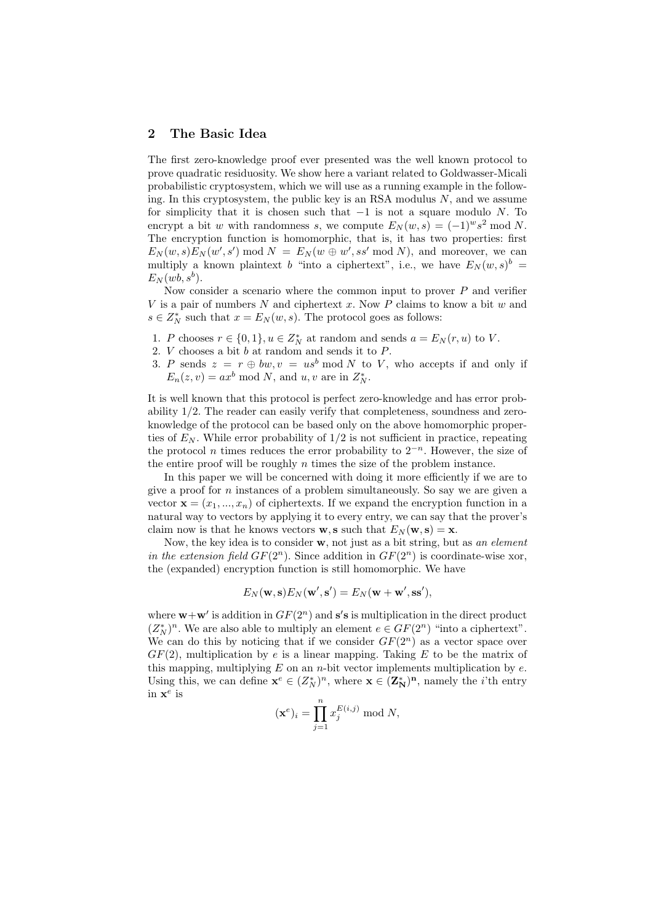## 2 The Basic Idea

The first zero-knowledge proof ever presented was the well known protocol to prove quadratic residuosity. We show here a variant related to Goldwasser-Micali probabilistic cryptosystem, which we will use as a running example in the following. In this cryptosystem, the public key is an RSA modulus  $N$ , and we assume for simplicity that it is chosen such that  $-1$  is not a square modulo N. To encrypt a bit w with randomness s, we compute  $E_N(w, s) = (-1)^w s^2 \mod N$ . The encryption function is homomorphic, that is, it has two properties: first  $E_N(w, s)E_N(w', s') \mod N = E_N(w \oplus w', ss' \mod N)$ , and moreover, we can multiply a known plaintext b "into a ciphertext", i.e., we have  $E_N(w, s)^b =$  $E_N(wb, s^b)$ .

Now consider a scenario where the common input to prover  $P$  and verifier V is a pair of numbers N and ciphertext x. Now P claims to know a bit w and  $s \in Z_N^*$  such that  $x = E_N(w, s)$ . The protocol goes as follows:

- 1. P chooses  $r \in \{0,1\}$ ,  $u \in Z_N^*$  at random and sends  $a = E_N(r, u)$  to V.
- 2.  $V$  chooses a bit  $b$  at random and sends it to  $P$ .
- 3. P sends  $z = r \oplus bw, v = us^b \mod N$  to V, who accepts if and only if  $E_n(z, v) = ax^b \mod N$ , and  $u, v$  are in  $Z_N^*$ .

It is well known that this protocol is perfect zero-knowledge and has error probability 1/2. The reader can easily verify that completeness, soundness and zeroknowledge of the protocol can be based only on the above homomorphic properties of  $E_N$ . While error probability of  $1/2$  is not sufficient in practice, repeating the protocol *n* times reduces the error probability to  $2^{-n}$ . However, the size of the entire proof will be roughly  $n$  times the size of the problem instance.

In this paper we will be concerned with doing it more efficiently if we are to give a proof for n instances of a problem simultaneously. So say we are given a vector  $\mathbf{x} = (x_1, ..., x_n)$  of ciphertexts. If we expand the encryption function in a natural way to vectors by applying it to every entry, we can say that the prover's claim now is that he knows vectors **w**, **s** such that  $E_N(\mathbf{w}, \mathbf{s}) = \mathbf{x}$ .

Now, the key idea is to consider w, not just as a bit string, but as an element in the extension field  $GF(2^n)$ . Since addition in  $GF(2^n)$  is coordinate-wise xor, the (expanded) encryption function is still homomorphic. We have

$$
E_N(\mathbf{w}, \mathbf{s}) E_N(\mathbf{w}', \mathbf{s}') = E_N(\mathbf{w} + \mathbf{w}', \mathbf{s}\mathbf{s}'),
$$

where  $w+w'$  is addition in  $GF(2^n)$  and s's is multiplication in the direct product  $(Z_N^*)^n$ . We are also able to multiply an element  $e \in GF(2^n)$  "into a ciphertext". We can do this by noticing that if we consider  $GF(2^n)$  as a vector space over  $GF(2)$ , multiplication by e is a linear mapping. Taking E to be the matrix of this mapping, multiplying  $E$  on an *n*-bit vector implements multiplication by  $e$ . Using this, we can define  $\mathbf{x}^e \in (\mathbb{Z}_N^*)^n$ , where  $\mathbf{x} \in (\mathbf{Z}_N^*)^n$ , namely the *i*'th entry in  $\mathbf{x}^e$  is

$$
(\mathbf{x}^e)_i = \prod_{j=1}^n x_j^{E(i,j)} \bmod N,
$$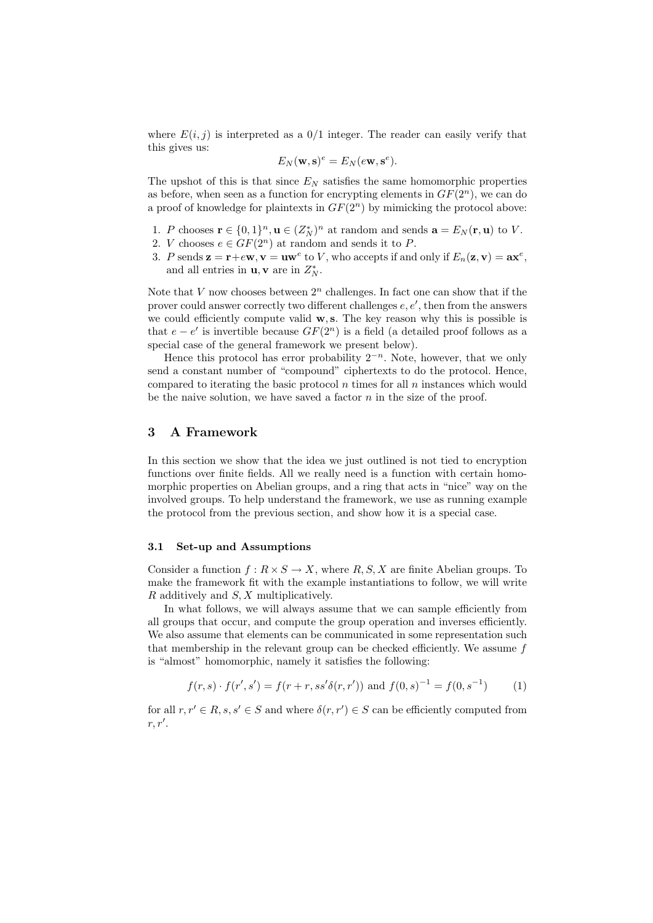where  $E(i, j)$  is interpreted as a  $0/1$  integer. The reader can easily verify that this gives us:

$$
E_N(\mathbf{w}, \mathbf{s})^e = E_N(e\mathbf{w}, \mathbf{s}^e).
$$

The upshot of this is that since  $E<sub>N</sub>$  satisfies the same homomorphic properties as before, when seen as a function for encrypting elements in  $GF(2<sup>n</sup>)$ , we can do a proof of knowledge for plaintexts in  $GF(2^n)$  by mimicking the protocol above:

- 1. P chooses  $\mathbf{r} \in \{0,1\}^n$ ,  $\mathbf{u} \in (Z_N^*)^n$  at random and sends  $\mathbf{a} = E_N(\mathbf{r}, \mathbf{u})$  to V.
- 2. *V* chooses  $e \in GF(2^n)$  at random and sends it to *P*.
- 3. P sends  $\mathbf{z} = \mathbf{r} + e\mathbf{w}$ ,  $\mathbf{v} = \mathbf{u}\mathbf{w}^e$  to V, who accepts if and only if  $E_n(\mathbf{z}, \mathbf{v}) = \mathbf{a}\mathbf{x}^e$ , and all entries in  $\mathbf{u}, \mathbf{v}$  are in  $Z_N^*$ .

Note that V now chooses between  $2^n$  challenges. In fact one can show that if the prover could answer correctly two different challenges  $e, e',$  then from the answers we could efficiently compute valid  $\mathbf{w}, \mathbf{s}$ . The key reason why this is possible is that  $e - e'$  is invertible because  $GF(2^n)$  is a field (a detailed proof follows as a special case of the general framework we present below).

Hence this protocol has error probability  $2^{-n}$ . Note, however, that we only send a constant number of "compound" ciphertexts to do the protocol. Hence, compared to iterating the basic protocol  $n$  times for all  $n$  instances which would be the naive solution, we have saved a factor  $n$  in the size of the proof.

## 3 A Framework

In this section we show that the idea we just outlined is not tied to encryption functions over finite fields. All we really need is a function with certain homomorphic properties on Abelian groups, and a ring that acts in "nice" way on the involved groups. To help understand the framework, we use as running example the protocol from the previous section, and show how it is a special case.

### 3.1 Set-up and Assumptions

Consider a function  $f: R \times S \to X$ , where  $R, S, X$  are finite Abelian groups. To make the framework fit with the example instantiations to follow, we will write R additively and S, X multiplicatively.

In what follows, we will always assume that we can sample efficiently from all groups that occur, and compute the group operation and inverses efficiently. We also assume that elements can be communicated in some representation such that membership in the relevant group can be checked efficiently. We assume  $f$ is "almost" homomorphic, namely it satisfies the following:

$$
f(r,s) \cdot f(r',s') = f(r+r,ss'\delta(r,r')) \text{ and } f(0,s)^{-1} = f(0,s^{-1})
$$
 (1)

for all  $r, r' \in R$ ,  $s, s' \in S$  and where  $\delta(r, r') \in S$  can be efficiently computed from  $r, r'.$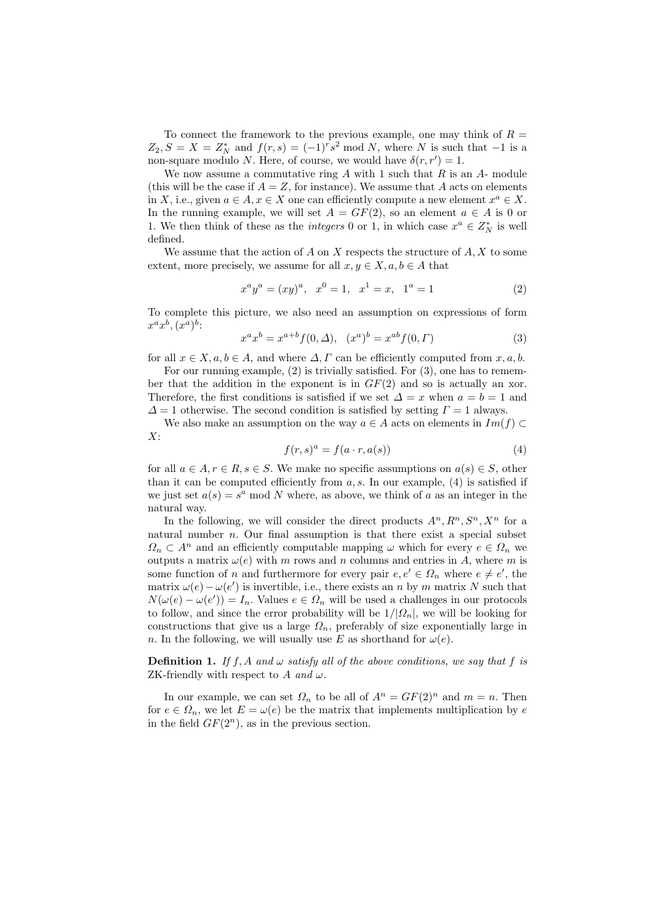To connect the framework to the previous example, one may think of  $R =$  $Z_2, S = X = Z_N^*$  and  $f(r, s) = (-1)^r s^2 \mod N$ , where N is such that  $-1$  is a non-square modulo N. Here, of course, we would have  $\delta(r, r') = 1$ .

We now assume a commutative ring  $A$  with 1 such that  $R$  is an  $A$ - module (this will be the case if  $A = Z$ , for instance). We assume that A acts on elements in X, i.e., given  $a \in A$ ,  $x \in X$  one can efficiently compute a new element  $x^a \in X$ . In the running example, we will set  $A = GF(2)$ , so an element  $a \in A$  is 0 or 1. We then think of these as the *integers* 0 or 1, in which case  $x^a \in Z_N^*$  is well defined.

We assume that the action of  $A$  on  $X$  respects the structure of  $A, X$  to some extent, more precisely, we assume for all  $x, y \in X$ ,  $a, b \in A$  that

$$
x^{a}y^{a} = (xy)^{a}, \ x^{0} = 1, \ x^{1} = x, \ 1^{a} = 1 \tag{2}
$$

To complete this picture, we also need an assumption on expressions of form  $x^a x^b, (x^a)^b$ :

$$
x^{a}x^{b} = x^{a+b}f(0, \Delta), (x^{a})^{b} = x^{ab}f(0, \Gamma)
$$
\n(3)

for all  $x \in X, a, b \in A$ , and where  $\Delta, \Gamma$  can be efficiently computed from  $x, a, b$ .

For our running example, (2) is trivially satisfied. For (3), one has to remember that the addition in the exponent is in  $GF(2)$  and so is actually an xor. Therefore, the first conditions is satisfied if we set  $\Delta = x$  when  $a = b = 1$  and  $\Delta = 1$  otherwise. The second condition is satisfied by setting  $\Gamma = 1$  always.

We also make an assumption on the way  $a \in A$  acts on elements in  $Im(f) \subset$  $X:$ 

$$
f(r,s)^a = f(a \cdot r, a(s))\tag{4}
$$

for all  $a \in A, r \in R, s \in S$ . We make no specific assumptions on  $a(s) \in S$ , other than it can be computed efficiently from  $a, s$ . In our example, (4) is satisfied if we just set  $a(s) = s^a \mod N$  where, as above, we think of a as an integer in the natural way.

In the following, we will consider the direct products  $A^n, R^n, S^n, X^n$  for a natural number  $n$ . Our final assumption is that there exist a special subset  $\Omega_n \subset A^n$  and an efficiently computable mapping  $\omega$  which for every  $e \in \Omega_n$  we outputs a matrix  $\omega(e)$  with m rows and n columns and entries in A, where m is some function of n and furthermore for every pair  $e, e' \in \Omega_n$  where  $e \neq e'$ , the matrix  $\omega(e) - \omega(e')$  is invertible, i.e., there exists an n by m matrix N such that  $N(\omega(e) - \omega(e')) = I_n$ . Values  $e \in \Omega_n$  will be used a challenges in our protocols to follow, and since the error probability will be  $1/|\Omega_n|$ , we will be looking for constructions that give us a large  $\Omega_n$ , preferably of size exponentially large in n. In the following, we will usually use E as shorthand for  $\omega(e)$ .

**Definition 1.** If f, A and  $\omega$  satisfy all of the above conditions, we say that f is ZK-friendly with respect to A and  $\omega$ .

In our example, we can set  $\Omega_n$  to be all of  $A^n = GF(2)^n$  and  $m = n$ . Then for  $e \in \Omega_n$ , we let  $E = \omega(e)$  be the matrix that implements multiplication by e in the field  $GF(2<sup>n</sup>)$ , as in the previous section.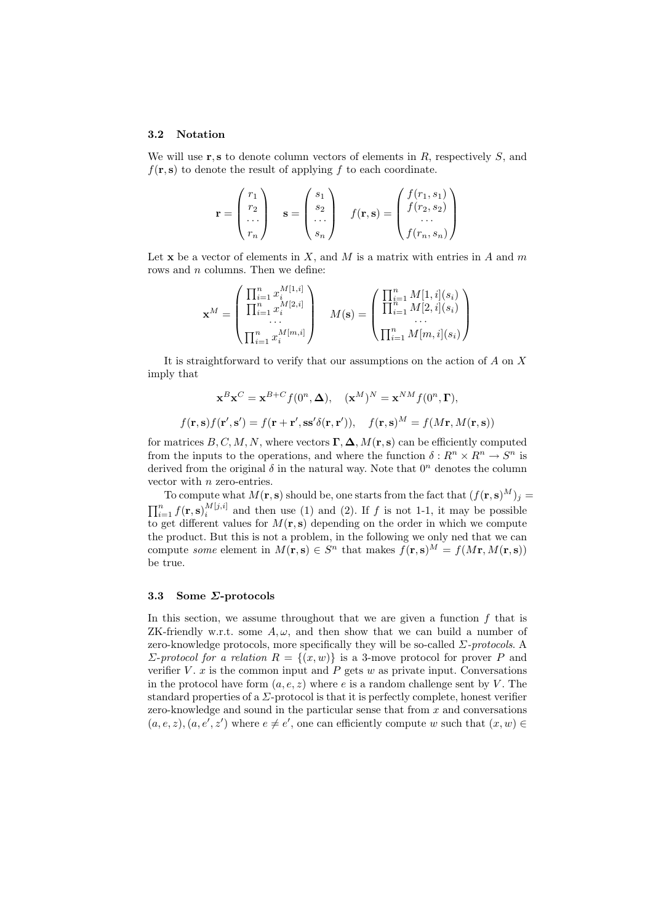#### 3.2 Notation

We will use  $\mathbf{r}, \mathbf{s}$  to denote column vectors of elements in  $R$ , respectively  $S$ , and  $f(\mathbf{r}, \mathbf{s})$  to denote the result of applying f to each coordinate.

$$
\mathbf{r} = \begin{pmatrix} r_1 \\ r_2 \\ \cdots \\ r_n \end{pmatrix} \quad \mathbf{s} = \begin{pmatrix} s_1 \\ s_2 \\ \cdots \\ s_n \end{pmatrix} \quad f(\mathbf{r}, \mathbf{s}) = \begin{pmatrix} f(r_1, s_1) \\ f(r_2, s_2) \\ \cdots \\ f(r_n, s_n) \end{pmatrix}
$$

Let  $x$  be a vector of elements in  $X$ , and  $M$  is a matrix with entries in  $A$  and  $m$ rows and  $n$  columns. Then we define:

$$
\mathbf{x}^{M} = \begin{pmatrix} \prod_{i=1}^{n} x_{i}^{M[1,i]} \\ \prod_{i=1}^{n} x_{i}^{M[2,i]} \\ \cdots \\ \prod_{i=1}^{n} x_{i}^{M[m,i]} \end{pmatrix} \quad M(\mathbf{s}) = \begin{pmatrix} \prod_{i=1}^{n} M[1,i](s_{i}) \\ \prod_{i=1}^{n} M[2,i](s_{i}) \\ \cdots \\ \prod_{i=1}^{n} M[m,i](s_{i}) \end{pmatrix}
$$

It is straightforward to verify that our assumptions on the action of A on X imply that

$$
\mathbf{x}^{B}\mathbf{x}^{C} = \mathbf{x}^{B+C}f(0^{n}, \Delta), \quad (\mathbf{x}^{M})^{N} = \mathbf{x}^{NM}f(0^{n}, \Gamma),
$$

$$
f(\mathbf{r}, \mathbf{s})f(\mathbf{r}', \mathbf{s}') = f(\mathbf{r} + \mathbf{r}', \mathbf{s}\mathbf{s}'\delta(\mathbf{r}, \mathbf{r}')), \quad f(\mathbf{r}, \mathbf{s})^{M} = f(M\mathbf{r}, M(\mathbf{r}, \mathbf{s}))
$$

for matrices  $B, C, M, N$ , where vectors  $\Gamma, \Delta, M(r, s)$  can be efficiently computed from the inputs to the operations, and where the function  $\delta: R^n \times R^n \to S^n$  is derived from the original  $\delta$  in the natural way. Note that  $0<sup>n</sup>$  denotes the column vector with *n* zero-entries.

To compute what  $M(\mathbf{r}, \mathbf{s})$  should be, one starts from the fact that  $(f(\mathbf{r}, \mathbf{s})^M)_j =$  $\prod_{i=1}^n f(\mathbf{r}, \mathbf{s})_i^{M[j,i]}$  and then use (1) and (2). If f is not 1-1, it may be possible to get different values for  $M(r, s)$  depending on the order in which we compute the product. But this is not a problem, in the following we only ned that we can compute some element in  $M(\mathbf{r}, \mathbf{s}) \in S^n$  that makes  $f(\mathbf{r}, \mathbf{s})^M = f(M\mathbf{r}, M(\mathbf{r}, \mathbf{s}))$ be true.

## 3.3 Some Σ-protocols

In this section, we assume throughout that we are given a function  $f$  that is ZK-friendly w.r.t. some  $A, \omega$ , and then show that we can build a number of zero-knowledge protocols, more specifically they will be so-called  $\Sigma$ -protocols. A  $Σ\text{-}protocol$  for a relation  $R = \{(x, w)\}\$ is a 3-move protocol for prover P and verifier V.  $x$  is the common input and  $P$  gets  $w$  as private input. Conversations in the protocol have form  $(a, e, z)$  where e is a random challenge sent by V. The standard properties of a Σ-protocol is that it is perfectly complete, honest verifier zero-knowledge and sound in the particular sense that from x and conversations  $(a, e, z), (a, e', z')$  where  $e \neq e'$ , one can efficiently compute w such that  $(x, w) \in$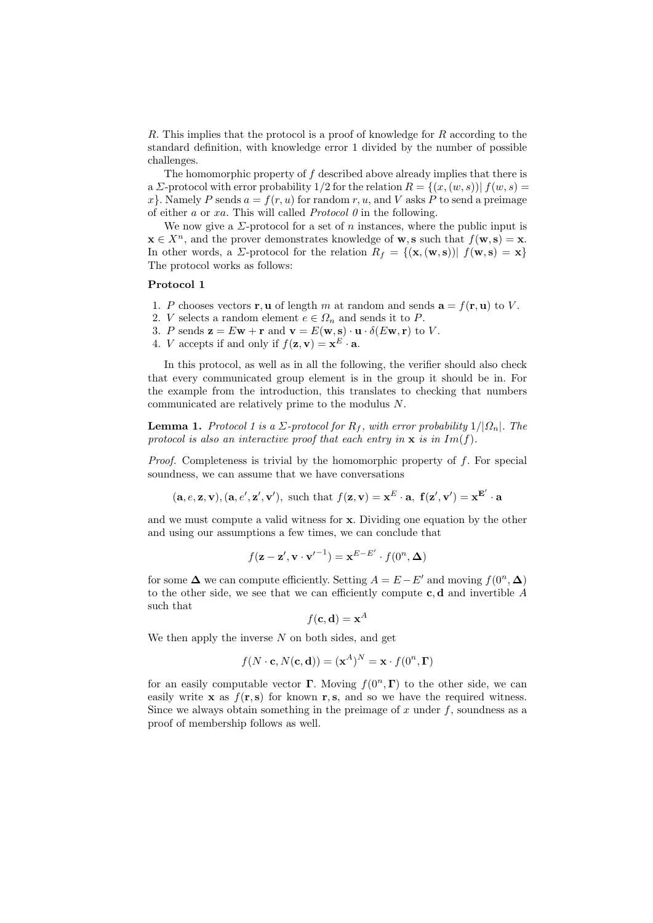R. This implies that the protocol is a proof of knowledge for R according to the standard definition, with knowledge error 1 divided by the number of possible challenges.

The homomorphic property of  $f$  described above already implies that there is a  $\Sigma$ -protocol with error probability  $1/2$  for the relation  $R = \{(x,(w,s))|\ f(w,s) =$ x. Namely P sends  $a = f(r, u)$  for random r, u, and V asks P to send a preimage of either a or xa. This will called *Protocol*  $\theta$  in the following.

We now give a  $\Sigma$ -protocol for a set of n instances, where the public input is  $\mathbf{x} \in X^n$ , and the prover demonstrates knowledge of **w**, **s** such that  $f(\mathbf{w}, \mathbf{s}) = \mathbf{x}$ . In other words, a *Σ*-protocol for the relation  $R_f = \{(\mathbf{x}, (\mathbf{w}, \mathbf{s})) | f(\mathbf{w}, \mathbf{s}) = \mathbf{x}\}\$ The protocol works as follows:

#### Protocol 1

- 1. P chooses vectors **r**, **u** of length m at random and sends  $\mathbf{a} = f(\mathbf{r}, \mathbf{u})$  to V.
- 2. *V* selects a random element  $e \in \Omega_n$  and sends it to P.
- 3. P sends  $\mathbf{z} = E\mathbf{w} + \mathbf{r}$  and  $\mathbf{v} = E(\mathbf{w}, \mathbf{s}) \cdot \mathbf{u} \cdot \delta(E\mathbf{w}, \mathbf{r})$  to V.
- 4. *V* accepts if and only if  $f(\mathbf{z}, \mathbf{v}) = \mathbf{x}^E \cdot \mathbf{a}$ .

In this protocol, as well as in all the following, the verifier should also check that every communicated group element is in the group it should be in. For the example from the introduction, this translates to checking that numbers communicated are relatively prime to the modulus N.

**Lemma 1.** Protocol 1 is a  $\Sigma$ -protocol for  $R_f$ , with error probability  $1/|\Omega_n|$ . The protocol is also an interactive proof that each entry in  $\bf{x}$  is in  $Im(f)$ .

*Proof.* Completeness is trivial by the homomorphic property of  $f$ . For special soundness, we can assume that we have conversations

 $(a, e, z, v), (a, e', z', v'), \text{ such that } f(z, v) = x^E \cdot a, f(z', v') = x^{E'} \cdot a$ 

and we must compute a valid witness for x. Dividing one equation by the other and using our assumptions a few times, we can conclude that

$$
f(\mathbf{z} - \mathbf{z}', \mathbf{v} \cdot {\mathbf{v}'}^{-1}) = \mathbf{x}^{E - E'} \cdot f(0^n, \boldsymbol{\Delta})
$$

for some  $\Delta$  we can compute efficiently. Setting  $A = E - E'$  and moving  $f(0^n, \Delta)$ to the other side, we see that we can efficiently compute  $c, d$  and invertible  $A$ such that

$$
f(\mathbf{c}, \mathbf{d}) = \mathbf{x}^A
$$

We then apply the inverse  $N$  on both sides, and get

$$
f(N \cdot \mathbf{c}, N(\mathbf{c}, \mathbf{d})) = (\mathbf{x}^A)^N = \mathbf{x} \cdot f(0^n, \mathbf{\Gamma})
$$

for an easily computable vector **Γ**. Moving  $f(0^n, \mathbf{\Gamma})$  to the other side, we can easily write **x** as  $f(\mathbf{r}, \mathbf{s})$  for known **r**, **s**, and so we have the required witness. Since we always obtain something in the preimage of  $x$  under  $f$ , soundness as a proof of membership follows as well.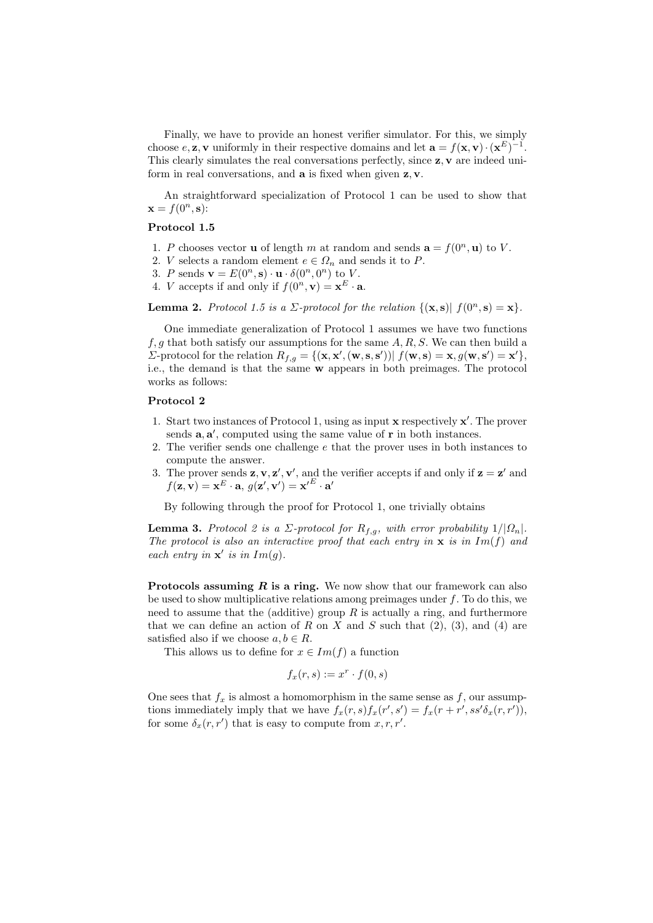Finally, we have to provide an honest verifier simulator. For this, we simply choose  $e, \mathbf{z}, \mathbf{v}$  uniformly in their respective domains and let  $\mathbf{a} = f(\mathbf{x}, \mathbf{v}) \cdot (\mathbf{x}^E)^{-1}$ . This clearly simulates the real conversations perfectly, since  $z$ ,  $v$  are indeed uniform in real conversations, and a is fixed when given z, v.

An straightforward specialization of Protocol 1 can be used to show that  $\mathbf{x} = f(0^n, \mathbf{s})$ :

### Protocol 1.5

- 1. P chooses vector **u** of length m at random and sends  $\mathbf{a} = f(0^n, \mathbf{u})$  to V.
- 2. V selects a random element  $e \in \Omega_n$  and sends it to P.
- 3. P sends  $\mathbf{v} = E(0^n, \mathbf{s}) \cdot \mathbf{u} \cdot \delta(0^n, 0^n)$  to V.
- 4. *V* accepts if and only if  $f(0^n, \mathbf{v}) = \mathbf{x}^E \cdot \mathbf{a}$ .

**Lemma 2.** Protocol 1.5 is a  $\Sigma$ -protocol for the relation  $\{(\mathbf{x}, \mathbf{s}) | f(0^n, \mathbf{s}) = \mathbf{x}\}\$ .

One immediate generalization of Protocol 1 assumes we have two functions  $f, g$  that both satisfy our assumptions for the same  $A, R, S$ . We can then build a *Σ*-protocol for the relation  $R_{f,g} = \{(\mathbf{x}, \mathbf{x}', (\mathbf{w}, \mathbf{s}, \mathbf{s}')) \mid f(\mathbf{w}, \mathbf{s}) = \mathbf{x}, g(\mathbf{w}, \mathbf{s}') = \mathbf{x}'\},\$ i.e., the demand is that the same w appears in both preimages. The protocol works as follows:

## Protocol 2

- 1. Start two instances of Protocol 1, using as input x respectively x'. The prover sends  $\mathbf{a}, \mathbf{a}'$ , computed using the same value of  $\mathbf{r}$  in both instances.
- 2. The verifier sends one challenge  $e$  that the prover uses in both instances to compute the answer.
- 3. The prover sends  $\mathbf{z}, \mathbf{v}, \mathbf{z}', \mathbf{v}'$ , and the verifier accepts if and only if  $\mathbf{z} = \mathbf{z}'$  and  $f(\mathbf{z}, \mathbf{v}) = \mathbf{x}^E \cdot \mathbf{a}, g(\mathbf{z}', \mathbf{v}') = {\mathbf{x}'}^E \cdot \mathbf{a}'$

By following through the proof for Protocol 1, one trivially obtains

**Lemma 3.** Protocol 2 is a  $\Sigma$ -protocol for  $R_{f,g}$ , with error probability  $1/|\Omega_n|$ . The protocol is also an interactive proof that each entry in  $x$  is in  $Im(f)$  and each entry in  $\mathbf{x}'$  is in  $Im(g)$ .

**Protocols assuming**  $R$  **is a ring.** We now show that our framework can also be used to show multiplicative relations among preimages under  $f$ . To do this, we need to assume that the (additive) group  $R$  is actually a ring, and furthermore that we can define an action of R on X and S such that  $(2)$ ,  $(3)$ , and  $(4)$  are satisfied also if we choose  $a, b \in R$ .

This allows us to define for  $x \in Im(f)$  a function

$$
f_x(r,s) := x^r \cdot f(0,s)
$$

One sees that  $f_x$  is almost a homomorphism in the same sense as  $f$ , our assumptions immediately imply that we have  $f_x(r, s) f_x(r', s') = f_x(r + r', ss' \delta_x(r, r')),$ for some  $\delta_x(r, r')$  that is easy to compute from  $x, r, r'$ .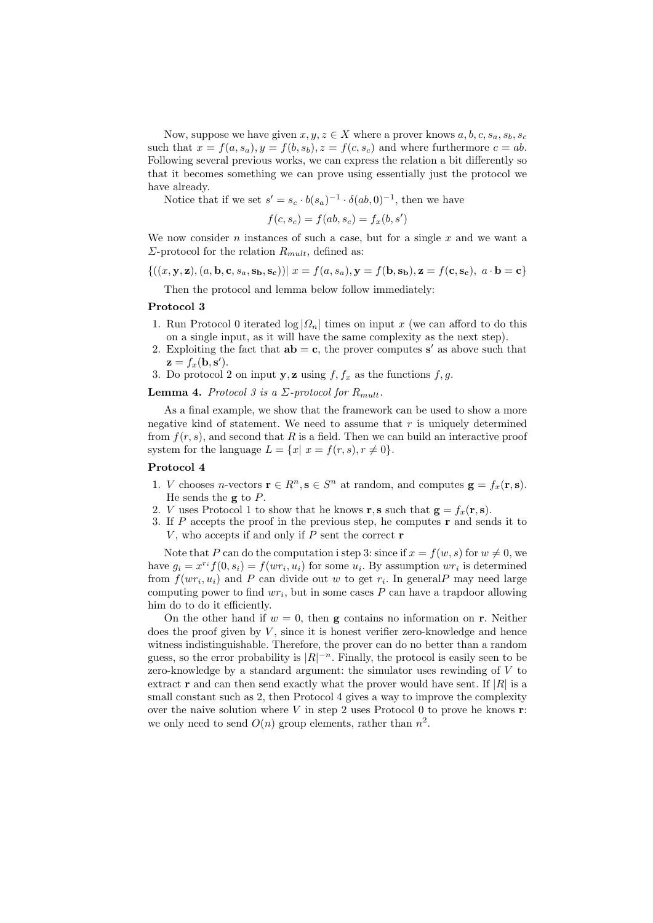Now, suppose we have given  $x, y, z \in X$  where a prover knows  $a, b, c, s_a, s_b, s_c$ such that  $x = f(a, s_a), y = f(b, s_b), z = f(c, s_c)$  and where furthermore  $c = ab$ . Following several previous works, we can express the relation a bit differently so that it becomes something we can prove using essentially just the protocol we have already.

Notice that if we set  $s' = s_c \cdot b(s_a)^{-1} \cdot \delta(ab, 0)^{-1}$ , then we have

$$
f(c, s_c) = f(ab, s_c) = f_x(b, s')
$$

We now consider  $n$  instances of such a case, but for a single  $x$  and we want a  $\Sigma$ -protocol for the relation  $R_{mult}$ , defined as:

 $\{((x, y, z), (a, b, c, s_a, s_b, s_c))\}\ x = f(a, s_a), y = f(b, s_b), z = f(c, s_c), a \cdot b = c\}$ 

Then the protocol and lemma below follow immediately:

#### Protocol 3

- 1. Run Protocol 0 iterated  $log |\Omega_n|$  times on input x (we can afford to do this on a single input, as it will have the same complexity as the next step).
- 2. Exploiting the fact that  $ab = c$ , the prover computes s' as above such that  $\mathbf{z} = f_x(\mathbf{b}, \mathbf{s}')$ .
- 3. Do protocol 2 on input y, z using  $f, f_x$  as the functions  $f, g$ .

**Lemma 4.** Protocol 3 is a  $\Sigma$ -protocol for  $R_{mult}$ .

As a final example, we show that the framework can be used to show a more negative kind of statement. We need to assume that  $r$  is uniquely determined from  $f(r, s)$ , and second that R is a field. Then we can build an interactive proof system for the language  $L = \{x | x = f(r, s), r \neq 0\}.$ 

## Protocol 4

- 1. *V* chooses *n*-vectors  $\mathbf{r} \in R^n$ ,  $\mathbf{s} \in S^n$  at random, and computes  $\mathbf{g} = f_x(\mathbf{r}, \mathbf{s})$ . He sends the  $g$  to  $P$ .
- 2. *V* uses Protocol 1 to show that he knows **r**, **s** such that  $\mathbf{g} = f_x(\mathbf{r}, \mathbf{s})$ .
- 3. If P accepts the proof in the previous step, he computes r and sends it to V, who accepts if and only if  $P$  sent the correct  $r$

Note that P can do the computation i step 3: since if  $x = f(w, s)$  for  $w \neq 0$ , we have  $g_i = x^{r_i} f(0, s_i) = f(wr_i, u_i)$  for some  $u_i$ . By assumption  $w r_i$  is determined from  $f(wr_i, u_i)$  and P can divide out w to get  $r_i$ . In general P may need large computing power to find  $wr_i$ , but in some cases  $P$  can have a trapdoor allowing him do to do it efficiently.

On the other hand if  $w = 0$ , then g contains no information on r. Neither does the proof given by  $V$ , since it is honest verifier zero-knowledge and hence witness indistinguishable. Therefore, the prover can do no better than a random guess, so the error probability is  $|R|^{-n}$ . Finally, the protocol is easily seen to be zero-knowledge by a standard argument: the simulator uses rewinding of V to extract **r** and can then send exactly what the prover would have sent. If  $|R|$  is a small constant such as 2, then Protocol 4 gives a way to improve the complexity over the naive solution where V in step 2 uses Protocol 0 to prove he knows  $\mathbf{r}$ : we only need to send  $O(n)$  group elements, rather than  $n^2$ .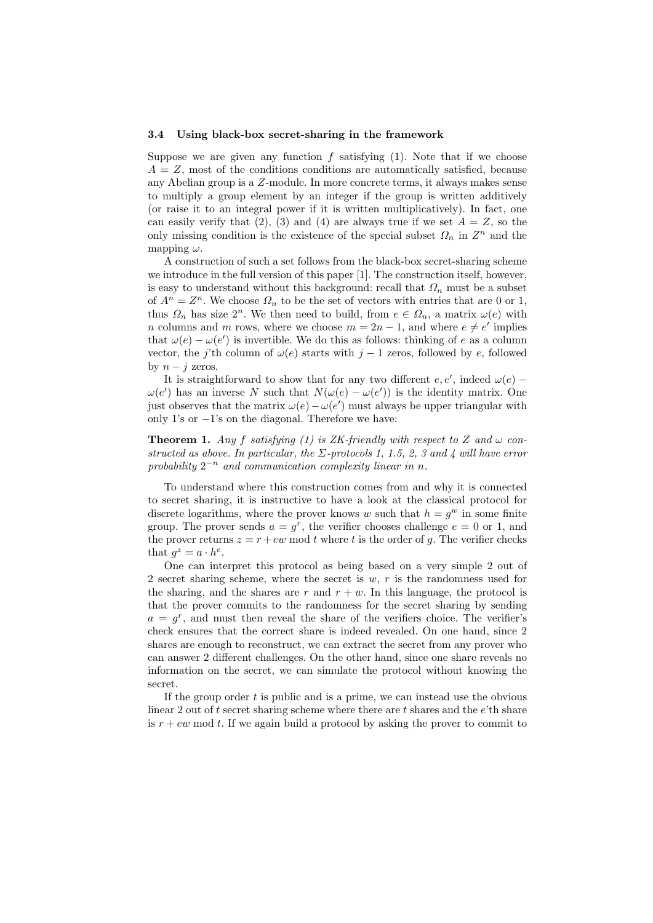#### 3.4 Using black-box secret-sharing in the framework

Suppose we are given any function  $f$  satisfying (1). Note that if we choose  $A = Z$ , most of the conditions conditions are automatically satisfied, because any Abelian group is a Z-module. In more concrete terms, it always makes sense to multiply a group element by an integer if the group is written additively (or raise it to an integral power if it is written multiplicatively). In fact, one can easily verify that (2), (3) and (4) are always true if we set  $A = Z$ , so the only missing condition is the existence of the special subset  $\Omega_n$  in  $\mathbb{Z}^n$  and the mapping  $\omega$ .

A construction of such a set follows from the black-box secret-sharing scheme we introduce in the full version of this paper [1]. The construction itself, however, is easy to understand without this background: recall that  $\Omega_n$  must be a subset of  $A^n = Z^n$ . We choose  $\Omega_n$  to be the set of vectors with entries that are 0 or 1, thus  $\Omega_n$  has size  $2^n$ . We then need to build, from  $e \in \Omega_n$ , a matrix  $\omega(e)$  with *n* columns and *m* rows, where we choose  $m = 2n - 1$ , and where  $e \neq e'$  implies that  $\omega(e) - \omega(e')$  is invertible. We do this as follows: thinking of e as a column vector, the j'th column of  $\omega(e)$  starts with j − 1 zeros, followed by e, followed by  $n - j$  zeros.

It is straightforward to show that for any two different  $e, e'$ , indeed  $\omega(e)$  –  $\omega(e')$  has an inverse N such that  $N(\omega(e) - \omega(e'))$  is the identity matrix. One just observes that the matrix  $\omega(e) - \omega(e')$  must always be upper triangular with only 1's or −1's on the diagonal. Therefore we have:

**Theorem 1.** Any f satisfying (1) is ZK-friendly with respect to Z and  $\omega$  constructed as above. In particular, the  $\Sigma$ -protocols 1, 1.5, 2, 3 and 4 will have error probability  $2^{-n}$  and communication complexity linear in n.

To understand where this construction comes from and why it is connected to secret sharing, it is instructive to have a look at the classical protocol for discrete logarithms, where the prover knows w such that  $h = g^w$  in some finite group. The prover sends  $a = g^r$ , the verifier chooses challenge  $e = 0$  or 1, and the prover returns  $z = r + ew$  mod t where t is the order of g. The verifier checks that  $g^z = a \cdot h^e$ .

One can interpret this protocol as being based on a very simple 2 out of 2 secret sharing scheme, where the secret is  $w, r$  is the randomness used for the sharing, and the shares are r and  $r + w$ . In this language, the protocol is that the prover commits to the randomness for the secret sharing by sending  $a = g<sup>r</sup>$ , and must then reveal the share of the verifiers choice. The verifier's check ensures that the correct share is indeed revealed. On one hand, since 2 shares are enough to reconstruct, we can extract the secret from any prover who can answer 2 different challenges. On the other hand, since one share reveals no information on the secret, we can simulate the protocol without knowing the secret.

If the group order  $t$  is public and is a prime, we can instead use the obvious linear 2 out of t secret sharing scheme where there are t shares and the  $e<sup>i</sup>$ th share is  $r + ew \mod t$ . If we again build a protocol by asking the prover to commit to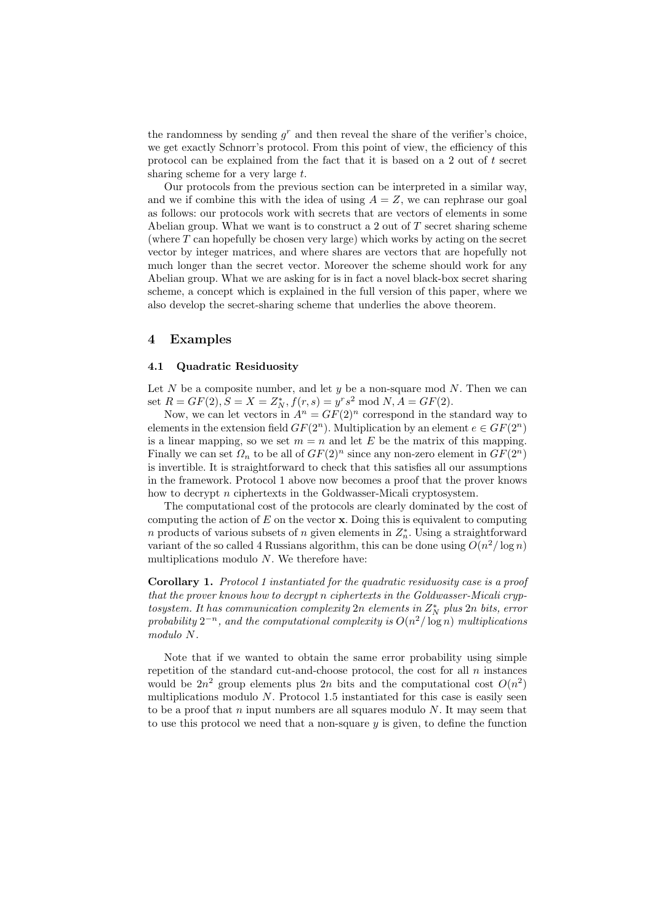the randomness by sending  $g<sup>r</sup>$  and then reveal the share of the verifier's choice, we get exactly Schnorr's protocol. From this point of view, the efficiency of this protocol can be explained from the fact that it is based on a 2 out of t secret sharing scheme for a very large  $t$ .

Our protocols from the previous section can be interpreted in a similar way, and we if combine this with the idea of using  $A = Z$ , we can rephrase our goal as follows: our protocols work with secrets that are vectors of elements in some Abelian group. What we want is to construct a 2 out of  $T$  secret sharing scheme (where  $T$  can hopefully be chosen very large) which works by acting on the secret vector by integer matrices, and where shares are vectors that are hopefully not much longer than the secret vector. Moreover the scheme should work for any Abelian group. What we are asking for is in fact a novel black-box secret sharing scheme, a concept which is explained in the full version of this paper, where we also develop the secret-sharing scheme that underlies the above theorem.

## 4 Examples

## 4.1 Quadratic Residuosity

Let  $N$  be a composite number, and let  $y$  be a non-square mod  $N$ . Then we can set  $R = GF(2), S = X = Z_N^*, f(r, s) = y^r s^2 \text{ mod } N, A = GF(2).$ 

Now, we can let vectors in  $A^n = GF(2)^n$  correspond in the standard way to elements in the extension field  $GF(2^n)$ . Multiplication by an element  $e \in GF(2^n)$ is a linear mapping, so we set  $m = n$  and let E be the matrix of this mapping. Finally we can set  $\Omega_n$  to be all of  $GF(2)^n$  since any non-zero element in  $GF(2^n)$ is invertible. It is straightforward to check that this satisfies all our assumptions in the framework. Protocol 1 above now becomes a proof that the prover knows how to decrypt *n* ciphertexts in the Goldwasser-Micali cryptosystem.

The computational cost of the protocols are clearly dominated by the cost of computing the action of  $E$  on the vector  $x$ . Doing this is equivalent to computing n products of various subsets of n given elements in  $Z_n^*$ . Using a straightforward variant of the so called 4 Russians algorithm, this can be done using  $O(n^2/\log n)$ multiplications modulo  $N$ . We therefore have:

Corollary 1. Protocol 1 instantiated for the quadratic residuosity case is a proof that the prover knows how to decrypt n ciphertexts in the Goldwasser-Micali cryptosystem. It has communication complexity  $2n$  elements in  $Z_N^*$  plus  $2n$  bits, error probability  $2^{-n}$ , and the computational complexity is  $O(n^2/\log n)$  multiplications modulo N.

Note that if we wanted to obtain the same error probability using simple repetition of the standard cut-and-choose protocol, the cost for all  $n$  instances would be  $2n^2$  group elements plus  $2n$  bits and the computational cost  $O(n^2)$ multiplications modulo N. Protocol 1.5 instantiated for this case is easily seen to be a proof that  $n$  input numbers are all squares modulo  $N$ . It may seem that to use this protocol we need that a non-square  $y$  is given, to define the function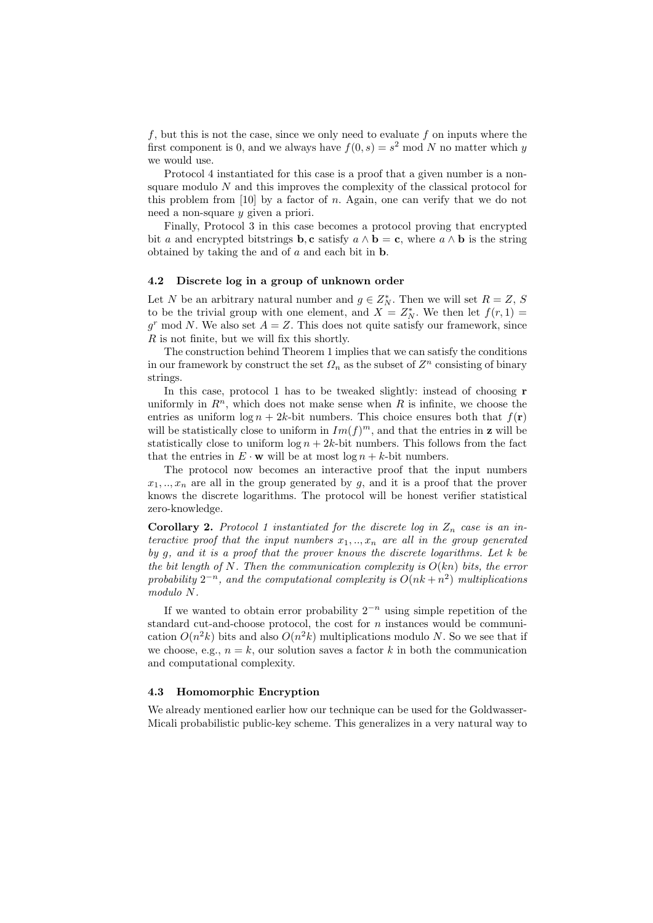f, but this is not the case, since we only need to evaluate f on inputs where the first component is 0, and we always have  $f(0, s) = s^2 \text{ mod } N$  no matter which y we would use.

Protocol 4 instantiated for this case is a proof that a given number is a nonsquare modulo N and this improves the complexity of the classical protocol for this problem from  $[10]$  by a factor of *n*. Again, one can verify that we do not need a non-square y given a priori.

Finally, Protocol 3 in this case becomes a protocol proving that encrypted bit a and encrypted bitstrings **b**, c satisfy  $a \wedge b = c$ , where  $a \wedge b$  is the string obtained by taking the and of  $a$  and each bit in  $\mathbf b$ .

#### 4.2 Discrete log in a group of unknown order

Let N be an arbitrary natural number and  $g \in Z_N^*$ . Then we will set  $R = Z$ , S to be the trivial group with one element, and  $X = Z_N^*$ . We then let  $f(r, 1) =$  $g<sup>r</sup>$  mod N. We also set  $A = Z$ . This does not quite satisfy our framework, since R is not finite, but we will fix this shortly.

The construction behind Theorem 1 implies that we can satisfy the conditions in our framework by construct the set  $\Omega_n$  as the subset of  $Z^n$  consisting of binary strings.

In this case, protocol 1 has to be tweaked slightly: instead of choosing r uniformly in  $R<sup>n</sup>$ , which does not make sense when R is infinite, we choose the entries as uniform  $\log n + 2k$ -bit numbers. This choice ensures both that  $f(\mathbf{r})$ will be statistically close to uniform in  $Im(f)^m$ , and that the entries in **z** will be statistically close to uniform  $\log n + 2k$ -bit numbers. This follows from the fact that the entries in  $E \cdot \mathbf{w}$  will be at most  $\log n + k$ -bit numbers.

The protocol now becomes an interactive proof that the input numbers  $x_1, \ldots, x_n$  are all in the group generated by g, and it is a proof that the prover knows the discrete logarithms. The protocol will be honest verifier statistical zero-knowledge.

**Corollary 2.** Protocol 1 instantiated for the discrete log in  $Z_n$  case is an interactive proof that the input numbers  $x_1, \ldots, x_n$  are all in the group generated by g, and it is a proof that the prover knows the discrete logarithms. Let k be the bit length of N. Then the communication complexity is  $O(kn)$  bits, the error probability  $2^{-n}$ , and the computational complexity is  $O(nk + n^2)$  multiplications modulo N.

If we wanted to obtain error probability  $2^{-n}$  using simple repetition of the standard cut-and-choose protocol, the cost for  $n$  instances would be communication  $O(n^2k)$  bits and also  $O(n^2k)$  multiplications modulo N. So we see that if we choose, e.g.,  $n = k$ , our solution saves a factor k in both the communication and computational complexity.

### 4.3 Homomorphic Encryption

We already mentioned earlier how our technique can be used for the Goldwasser-Micali probabilistic public-key scheme. This generalizes in a very natural way to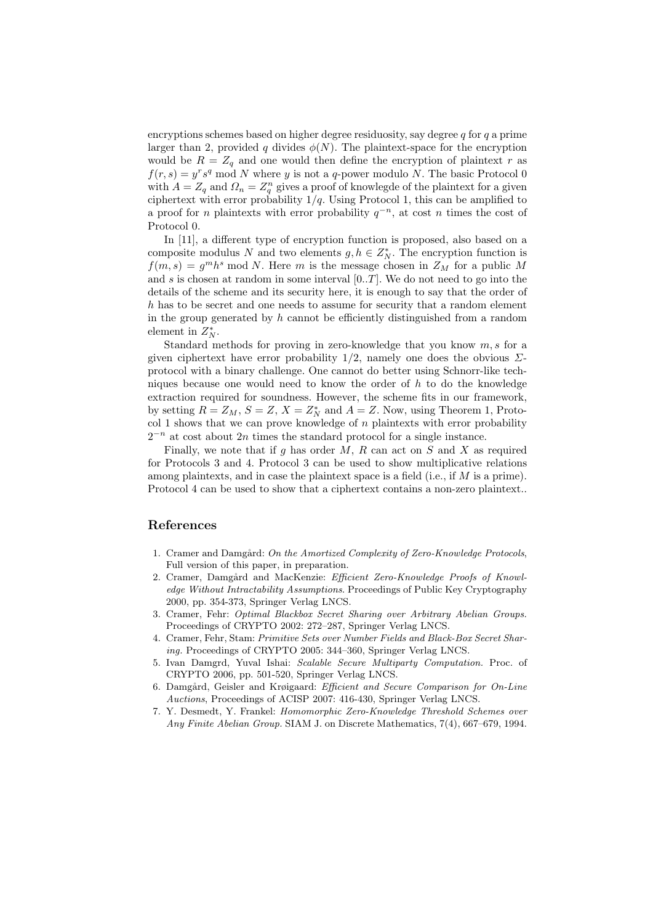encryptions schemes based on higher degree residuosity, say degree  $q$  for  $q$  a prime larger than 2, provided q divides  $\phi(N)$ . The plaintext-space for the encryption would be  $R = Z_q$  and one would then define the encryption of plaintext r as  $f(r, s) = y^r s^q \mod N$  where y is not a q-power modulo N. The basic Protocol 0 with  $A = Z_q$  and  $\Omega_n = Z_q^n$  gives a proof of knowlegde of the plaintext for a given ciphertext with error probability  $1/q$ . Using Protocol 1, this can be amplified to a proof for *n* plaintexts with error probability  $q^{-n}$ , at cost *n* times the cost of Protocol 0.

In [11], a different type of encryption function is proposed, also based on a composite modulus N and two elements  $g, h \in Z_N^*$ . The encryption function is  $f(m, s) = g^m h^s \mod N$ . Here m is the message chosen in  $Z_M$  for a public M and s is chosen at random in some interval  $[0..T]$ . We do not need to go into the details of the scheme and its security here, it is enough to say that the order of h has to be secret and one needs to assume for security that a random element in the group generated by  $h$  cannot be efficiently distinguished from a random element in  $Z_N^*$ .

Standard methods for proving in zero-knowledge that you know  $m, s$  for a given ciphertext have error probability  $1/2$ , namely one does the obvious  $\Sigma$ protocol with a binary challenge. One cannot do better using Schnorr-like techniques because one would need to know the order of  $h$  to do the knowledge extraction required for soundness. However, the scheme fits in our framework, by setting  $R = Z_M$ ,  $S = Z$ ,  $X = Z_N^*$  and  $A = Z$ . Now, using Theorem 1, Protocol 1 shows that we can prove knowledge of  $n$  plaintexts with error probability  $2^{-n}$  at cost about 2n times the standard protocol for a single instance.

Finally, we note that if g has order  $M$ ,  $R$  can act on  $S$  and  $X$  as required for Protocols 3 and 4. Protocol 3 can be used to show multiplicative relations among plaintexts, and in case the plaintext space is a field (i.e., if  $M$  is a prime). Protocol 4 can be used to show that a ciphertext contains a non-zero plaintext..

## References

- 1. Cramer and Damgård: On the Amortized Complexity of Zero-Knowledge Protocols, Full version of this paper, in preparation.
- 2. Cramer, Damgård and MacKenzie: Efficient Zero-Knowledge Proofs of Knowledge Without Intractability Assumptions. Proceedings of Public Key Cryptography 2000, pp. 354-373, Springer Verlag LNCS.
- 3. Cramer, Fehr: Optimal Blackbox Secret Sharing over Arbitrary Abelian Groups. Proceedings of CRYPTO 2002: 272–287, Springer Verlag LNCS.
- 4. Cramer, Fehr, Stam: Primitive Sets over Number Fields and Black-Box Secret Sharing. Proceedings of CRYPTO 2005: 344–360, Springer Verlag LNCS.
- 5. Ivan Damgrd, Yuval Ishai: Scalable Secure Multiparty Computation. Proc. of CRYPTO 2006, pp. 501-520, Springer Verlag LNCS.
- 6. Damgård, Geisler and Krøigaard: Efficient and Secure Comparison for On-Line Auctions, Proceedings of ACISP 2007: 416-430, Springer Verlag LNCS.
- 7. Y. Desmedt, Y. Frankel: Homomorphic Zero-Knowledge Threshold Schemes over Any Finite Abelian Group. SIAM J. on Discrete Mathematics, 7(4), 667–679, 1994.